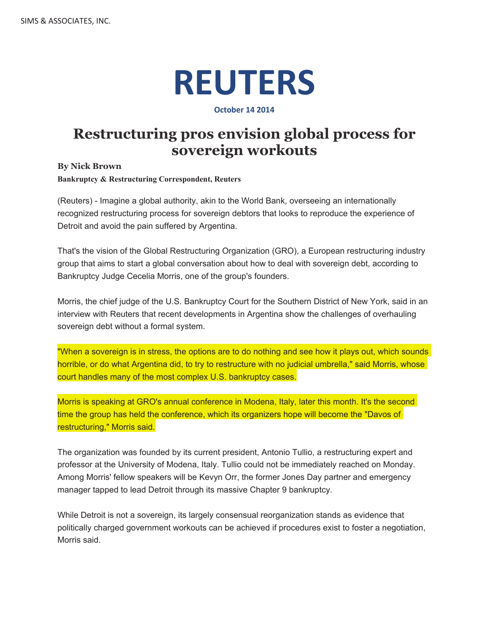## **REUTERS**

## **October 14 2014**

## **Restructuring pros envision global process for sovereign workouts**

**By Nick Brown**

**Bankruptcy & Restructuring Correspondent, Reuters**

(Reuters) - Imagine a global authority, akin to the World Bank, overseeing an internationally recognized restructuring process for sovereign debtors that looks to reproduce the experience of Detroit and avoid the pain suffered by Argentina.

That's the vision of the Global Restructuring Organization (GRO), a European restructuring industry group that aims to start a global conversation about how to deal with sovereign debt, according to Bankruptcy Judge Cecelia Morris, one of the group's founders.

Morris, the chief judge of the U.S. Bankruptcy Court for the Southern District of New York, said in an interview with Reuters that recent developments in Argentina show the challenges of overhauling sovereign debt without a formal system.

"When a sovereign is in stress, the options are to do nothing and see how it plays out, which sounds horrible, or do what Argentina did, to try to restructure with no judicial umbrella," said Morris, whose court handles many of the most complex U.S. bankruptcy cases.

Morris is speaking at GRO's annual conference in Modena, Italy, later this month. It's the second time the group has held the conference, which its organizers hope will become the "Davos of restructuring," Morris said.

The organization was founded by its current president, Antonio Tullio, a restructuring expert and professor at the University of Modena, Italy. Tullio could not be immediately reached on Monday. Among Morris' fellow speakers will be Kevyn Orr, the former Jones Day partner and emergency manager tapped to lead Detroit through its massive Chapter 9 bankruptcy.

While Detroit is not a sovereign, its largely consensual reorganization stands as evidence that politically charged government workouts can be achieved if procedures exist to foster a negotiation, Morris said.